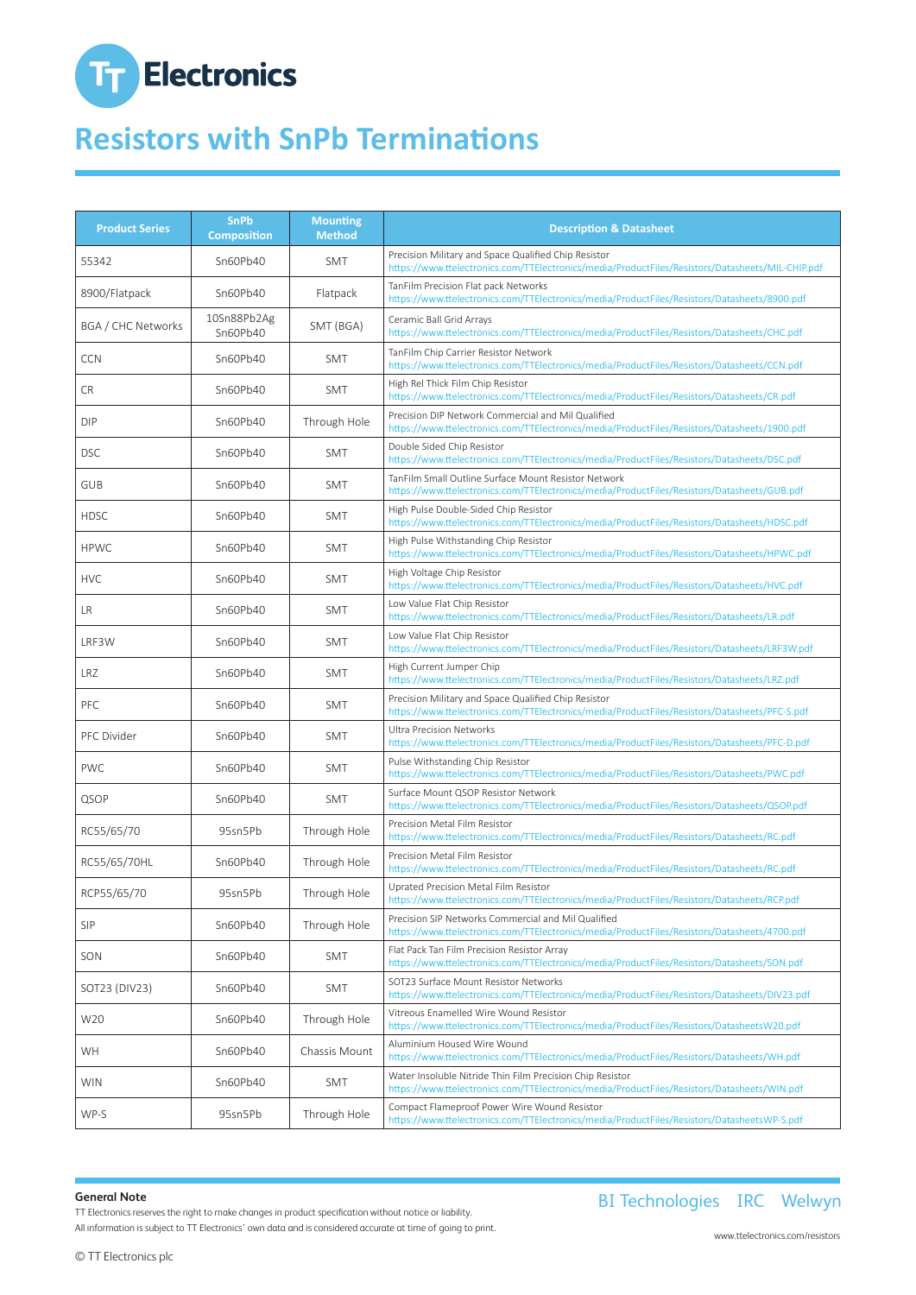# **T<sub>T</sub>** Electronics

## **Resistors with SnPb Terminations**

| <b>Product Series</b> | <b>SnPb</b><br><b>Composition</b> | <b>Mounting</b><br><b>Method</b> | <b>Description &amp; Datasheet</b>                                                                                                                       |
|-----------------------|-----------------------------------|----------------------------------|----------------------------------------------------------------------------------------------------------------------------------------------------------|
| 55342                 | Sn60Pb40                          | SMT                              | Precision Military and Space Qualified Chip Resistor<br>https://www.ttelectronics.com/TTElectronics/media/ProductFiles/Resistors/Datasheets/MIL-CHIP.pdf |
| 8900/Flatpack         | Sn60Pb40                          | Flatpack                         | TanFilm Precision Flat pack Networks<br>https://www.ttelectronics.com/TTElectronics/media/ProductFiles/Resistors/Datasheets/8900.pdf                     |
| BGA / CHC Networks    | 10Sn88Pb2Ag<br>Sn60Pb40           | SMT (BGA)                        | Ceramic Ball Grid Arrays<br>https://www.ttelectronics.com/TTElectronics/media/ProductFiles/Resistors/Datasheets/CHC.pdf                                  |
| <b>CCN</b>            | Sn60Pb40                          | SMT                              | TanFilm Chip Carrier Resistor Network<br>https://www.ttelectronics.com/TTElectronics/media/ProductFiles/Resistors/Datasheets/CCN.pdf                     |
| <b>CR</b>             | Sn60Pb40                          | <b>SMT</b>                       | High Rel Thick Film Chip Resistor<br>https://www.ttelectronics.com/TTElectronics/media/ProductFiles/Resistors/Datasheets/CR.pdf                          |
| <b>DIP</b>            | Sn60Pb40                          | Through Hole                     | Precision DIP Network Commercial and Mil Qualified<br>https://www.ttelectronics.com/TTElectronics/media/ProductFiles/Resistors/Datasheets/1900.pdf       |
| <b>DSC</b>            | Sn60Pb40                          | SMT                              | Double Sided Chip Resistor<br>https://www.ttelectronics.com/TTElectronics/media/ProductFiles/Resistors/Datasheets/DSC.pdf                                |
| GUB                   | Sn60Pb40                          | <b>SMT</b>                       | TanFilm Small Outline Surface Mount Resistor Network<br>https://www.ttelectronics.com/TTElectronics/media/ProductFiles/Resistors/Datasheets/GUB.pdf      |
| <b>HDSC</b>           | Sn60Pb40                          | SMT                              | High Pulse Double-Sided Chip Resistor<br>https://www.ttelectronics.com/TTElectronics/media/ProductFiles/Resistors/Datasheets/HDSC.pdf                    |
| <b>HPWC</b>           | Sn60Pb40                          | SMT                              | High Pulse Withstanding Chip Resistor<br>https://www.ttelectronics.com/TTElectronics/media/ProductFiles/Resistors/Datasheets/HPWC.pdf                    |
| <b>HVC</b>            | Sn60Pb40                          | <b>SMT</b>                       | High Voltage Chip Resistor<br>https://www.ttelectronics.com/TTElectronics/media/ProductFiles/Resistors/Datasheets/HVC.pdf                                |
| LR                    | Sn60Pb40                          | <b>SMT</b>                       | Low Value Flat Chip Resistor<br>https://www.ttelectronics.com/TTElectronics/media/ProductFiles/Resistors/Datasheets/LR.pdf                               |
| LRF3W                 | Sn60Pb40                          | SMT                              | Low Value Flat Chip Resistor<br>https://www.ttelectronics.com/TTElectronics/media/ProductFiles/Resistors/Datasheets/LRF3W.pdf                            |
| LRZ                   | Sn60Pb40                          | <b>SMT</b>                       | High Current Jumper Chip<br>https://www.ttelectronics.com/TTElectronics/media/ProductFiles/Resistors/Datasheets/LRZ.pdf                                  |
| PFC                   | Sn60Pb40                          | SMT                              | Precision Military and Space Qualified Chip Resistor<br>https://www.ttelectronics.com/TTElectronics/media/ProductFiles/Resistors/Datasheets/PFC-S.pdf    |
| PFC Divider           | Sn60Pb40                          | SMT                              | <b>Ultra Precision Networks</b><br>https://www.ttelectronics.com/TTElectronics/media/ProductFiles/Resistors/Datasheets/PFC-D.pdf                         |
| <b>PWC</b>            | Sn60Pb40                          | <b>SMT</b>                       | Pulse Withstanding Chip Resistor<br>https://www.ttelectronics.com/TTElectronics/media/ProductFiles/Resistors/Datasheets/PWC.pdf                          |
| QSOP                  | Sn60Pb40                          | SMT                              | Surface Mount QSOP Resistor Network<br>https://www.ttelectronics.com/TTElectronics/media/ProductFiles/Resistors/Datasheets/QSOP.pdf                      |
| RC55/65/70            | 95sn5Pb                           | Through Hole                     | Precision Metal Film Resistor<br>https://www.ttelectronics.com/TTElectronics/media/ProductFiles/Resistors/Datasheets/RC.pdf                              |
| RC55/65/70HL          | Sn60Pb40                          | Through Hole                     | Precision Metal Film Resistor<br>https://www.ttelectronics.com/TTElectronics/media/ProductFiles/Resistors/Datasheets/RC.pdf                              |
| RCP55/65/70           | 95sn5Pb                           | Through Hole                     | Uprated Precision Metal Film Resistor<br>https://www.ttelectronics.com/TTElectronics/media/ProductFiles/Resistors/Datasheets/RCP.pdf                     |
| <b>SIP</b>            | Sn60Pb40                          | Through Hole                     | Precision SIP Networks Commercial and Mil Qualified<br>https://www.ttelectronics.com/TTElectronics/media/ProductFiles/Resistors/Datasheets/4700.pdf      |
| SON                   | Sn60Pb40                          | SMT                              | Flat Pack Tan Film Precision Resistor Array<br>https://www.ttelectronics.com/TTElectronics/media/ProductFiles/Resistors/Datasheets/SON.pdf               |
| SOT23 (DIV23)         | Sn60Pb40                          | SMT                              | SOT23 Surface Mount Resistor Networks<br>https://www.ttelectronics.com/TTElectronics/media/ProductFiles/Resistors/Datasheets/DIV23.pdf                   |
| W20                   | Sn60Pb40                          | Through Hole                     | Vitreous Enamelled Wire Wound Resistor<br>https://www.ttelectronics.com/TTElectronics/media/ProductFiles/Resistors/DatasheetsW20.pdf                     |
| WH                    | Sn60Pb40                          | Chassis Mount                    | Aluminium Housed Wire Wound<br>https://www.ttelectronics.com/TTElectronics/media/ProductFiles/Resistors/Datasheets/WH.pdf                                |
| <b>WIN</b>            | Sn60Pb40                          | SMT                              | Water Insoluble Nitride Thin Film Precision Chip Resistor<br>https://www.ttelectronics.com/TTElectronics/media/ProductFiles/Resistors/Datasheets/WIN.pdf |
| WP-S                  | 95sn5Pb                           | Through Hole                     | Compact Flameproof Power Wire Wound Resistor<br>https://www.ttelectronics.com/TTElectronics/media/ProductFiles/Resistors/DatasheetsWP-S.pdf              |

#### **General Note**

TT Electronics reserves the right to make changes in product specification without notice or liability. All information is subject to TT Electronics' own data and is considered accurate at time of going to print.